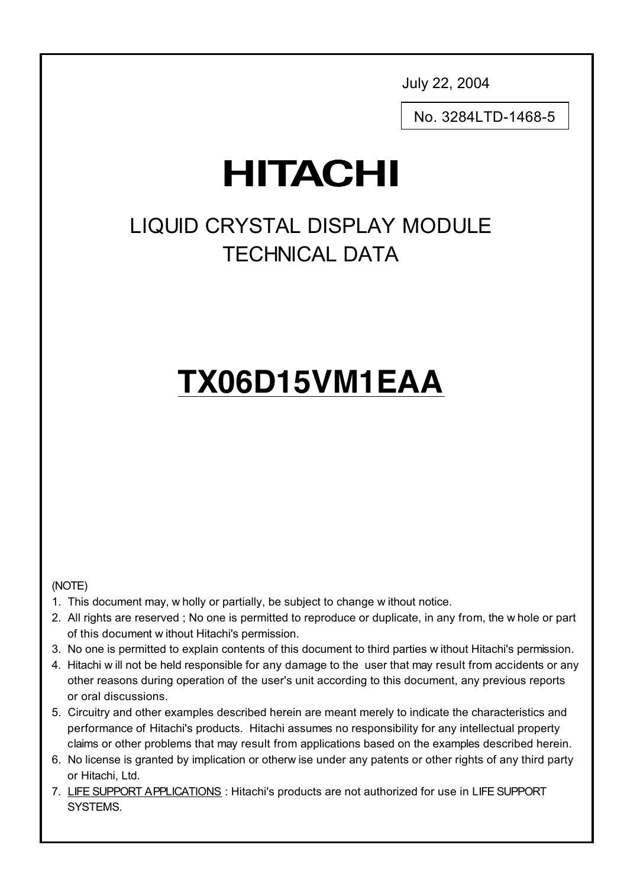July 22, 2004

No. 3284LTD-1468-5

## **HITACHI**

### LIQUID CRYSTAL DISPLAY MODULE TECHNICAL DATA

# **TX06D15VM1EAA**

#### (NOTE)

- 1. This document may, w holly or partially, be subject to change w ithout notice.
- 2. All rights are reserved ; No one is permitted to reproduce or duplicate, in any from, the w hole or part of this document w ithout Hitachi's permission.
- 3. No one is permitted to explain contents of this document to third parties w ithout Hitachi's permission.
- 4. Hitachi w ill not be held responsible for any damage to the user that may result from accidents or any other reasons during operation of the user's unit according to this document, any previous reports or oral discussions.
- 5. Circuitry and other examples described herein are meant merely to indicate the characteristics and performance of Hitachi's products. Hitachi assumes no responsibility for any intellectual property claims or other problems that may result from applications based on the examples described herein.
- 6. No license is granted by implication or otherw ise under any patents or other rights of any third party or Hitachi, Ltd.
- 7. LIFE SUPPORT APPLICATIONS : Hitachi's products are not authorized for use in LIFE SUPPORT SYSTEMS.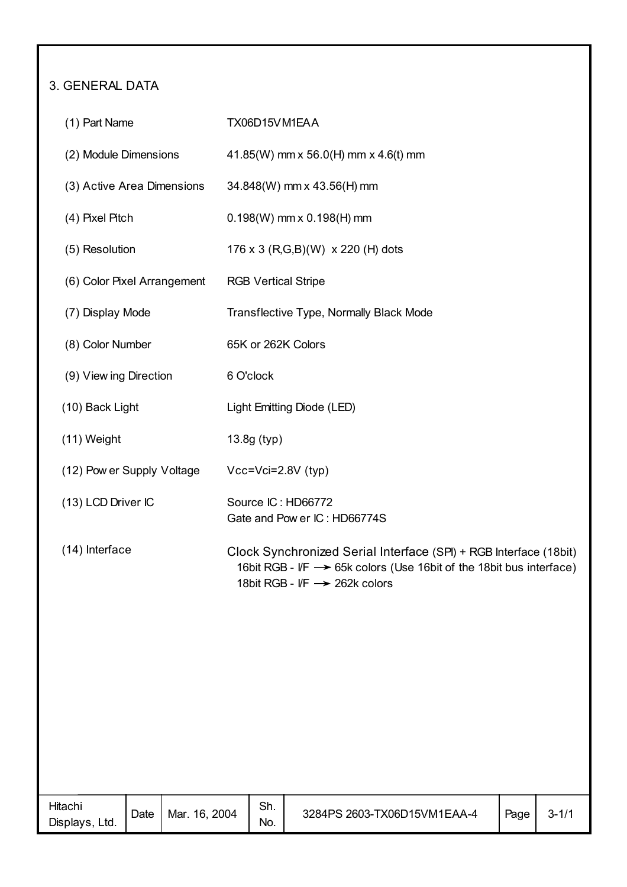### 3. GENERAL DATA

| (1) Part Name               | TX06D15VM1EAA                                                                                                                                                                         |
|-----------------------------|---------------------------------------------------------------------------------------------------------------------------------------------------------------------------------------|
| (2) Module Dimensions       | 41.85(W) mm x 56.0(H) mm x 4.6(t) mm                                                                                                                                                  |
| (3) Active Area Dimensions  | 34.848(W) mm x 43.56(H) mm                                                                                                                                                            |
| (4) Pixel Pitch             | $0.198(W)$ mm x $0.198(H)$ mm                                                                                                                                                         |
| (5) Resolution              | 176 x 3 (R,G,B)(W) x 220 (H) dots                                                                                                                                                     |
| (6) Color Pixel Arrangement | <b>RGB Vertical Stripe</b>                                                                                                                                                            |
| (7) Display Mode            | Transflective Type, Normally Black Mode                                                                                                                                               |
| (8) Color Number            | 65K or 262K Colors                                                                                                                                                                    |
| (9) View ing Direction      | 6 O'clock                                                                                                                                                                             |
| (10) Back Light             | Light Emitting Diode (LED)                                                                                                                                                            |
| (11) Weight                 | 13.8g (typ)                                                                                                                                                                           |
| (12) Pow er Supply Voltage  | $Vcc = Vci = 2.8V$ (typ)                                                                                                                                                              |
| (13) LCD Driver IC          | Source IC: HD66772<br>Gate and Pow er IC: HD66774S                                                                                                                                    |
| (14) Interface              | Clock Synchronized Serial Interface (SPI) + RGB Interface (18bit)<br>16bit RGB - $VF \rightarrow 65k$ colors (Use 16bit of the 18bit bus interface)<br>18bit RGB - I/F -> 262k colors |
|                             |                                                                                                                                                                                       |
|                             |                                                                                                                                                                                       |
|                             |                                                                                                                                                                                       |
|                             |                                                                                                                                                                                       |
|                             |                                                                                                                                                                                       |
|                             |                                                                                                                                                                                       |

| Hitachı<br>Displays,<br>Ltd. | Date | 2004<br>16.<br>Mar. | Sh.<br>No. | 3284PS 2603-TX06D15VM1EAA-4 | Page | ∹ت |
|------------------------------|------|---------------------|------------|-----------------------------|------|----|
|                              |      |                     |            |                             |      |    |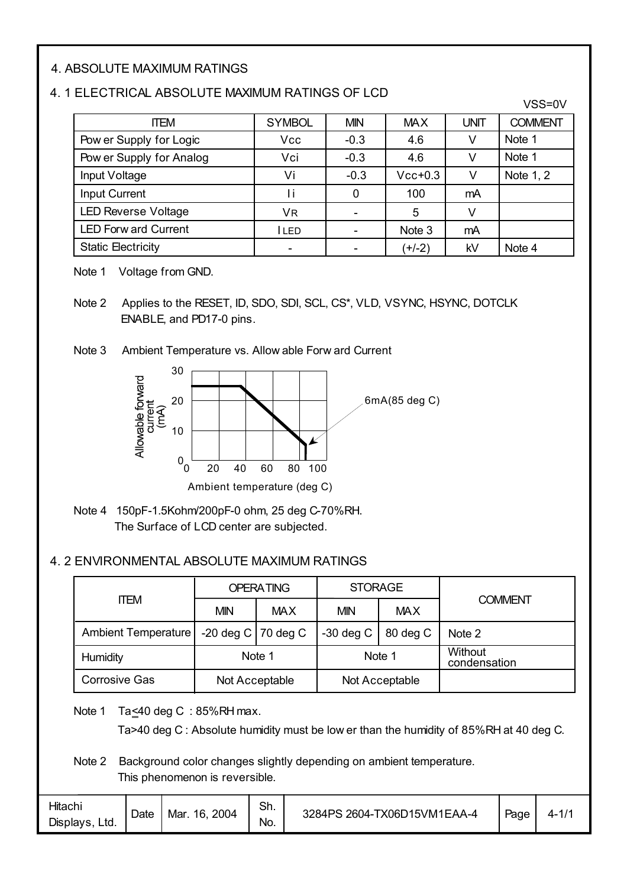#### 4. ABSOLUTE MAXIMUM RATINGS

#### 4. 1 ELECTRICAL ABSOLUTE MAXIMUM RATINGS OF LCD

| <b>ITEM</b>                 | <b>SYMBOL</b> | <b>MIN</b> | <b>MAX</b> | <b>UNIT</b> | <b>COMMENT</b> |
|-----------------------------|---------------|------------|------------|-------------|----------------|
| Pow er Supply for Logic     | <b>Vcc</b>    | $-0.3$     | 4.6        |             | Note 1         |
| Pow er Supply for Analog    | Vci           | $-0.3$     | 4.6        |             | Note 1         |
| Input Voltage               | Vi            | $-0.3$     | $Vcc+0.3$  |             | Note 1, 2      |
| <b>Input Current</b>        | Τi            |            | 100        | mA          |                |
| <b>LED Reverse Voltage</b>  | VR            |            | 5          |             |                |
| <b>LED Forw ard Current</b> | <b>ILED</b>   |            | Note 3     | mA          |                |
| <b>Static Electricity</b>   |               |            | (+/-2)     | kV          | Note 4         |

 $VSS=0V$ 

Note 1 Voltage from GND.

Note 2 Applies to the RESET, ID, SDO, SDI, SCL, CS\*, VLD, VSYNC, HSYNC, DOTCLK ENABLE, and PD17-0 pins.

Note 3 Ambient Temperature vs. Allow able Forw ard Current



Note 4 150pF-1.5Kohm/200pF-0 ohm, 25 deg C-70%RH. The Surface of LCD center are subjected.

#### 4. 2 ENVIRONMENTAL ABSOLUTE MAXIMUM RATINGS

|                      |                        | <b>OPERATING</b> | <b>STORAGE</b> |                |                         |  |
|----------------------|------------------------|------------------|----------------|----------------|-------------------------|--|
| <b>ITEM</b>          | <b>MIN</b>             | <b>MAX</b>       | <b>MIN</b>     | <b>MAX</b>     | <b>COMMENT</b>          |  |
| Ambient Temperature  | $-20$ deg C   70 deg C |                  | $-30$ deg C    | 80 deg C       | Note 2                  |  |
| Humidity             | Note 1                 |                  | Note 1         |                | Without<br>condensation |  |
| <b>Corrosive Gas</b> | Not Acceptable         |                  |                | Not Acceptable |                         |  |

Note 1 Ta<40 deg C : 85%RH max.

Ta>40 deg C : Absolute humidity must be low er than the humidity of 85%RH at 40 deg C.

Note 2 Background color changes slightly depending on ambient temperature. This phenomenon is reversible.

| Hitachi<br>Displays,<br>Ltd. | Date | 16, 2004<br>Mar. | Sh.<br>No. | 3284PS 2604-TX06D15VM1EAA-4 | Page | $4 - 1/2$ |
|------------------------------|------|------------------|------------|-----------------------------|------|-----------|
|------------------------------|------|------------------|------------|-----------------------------|------|-----------|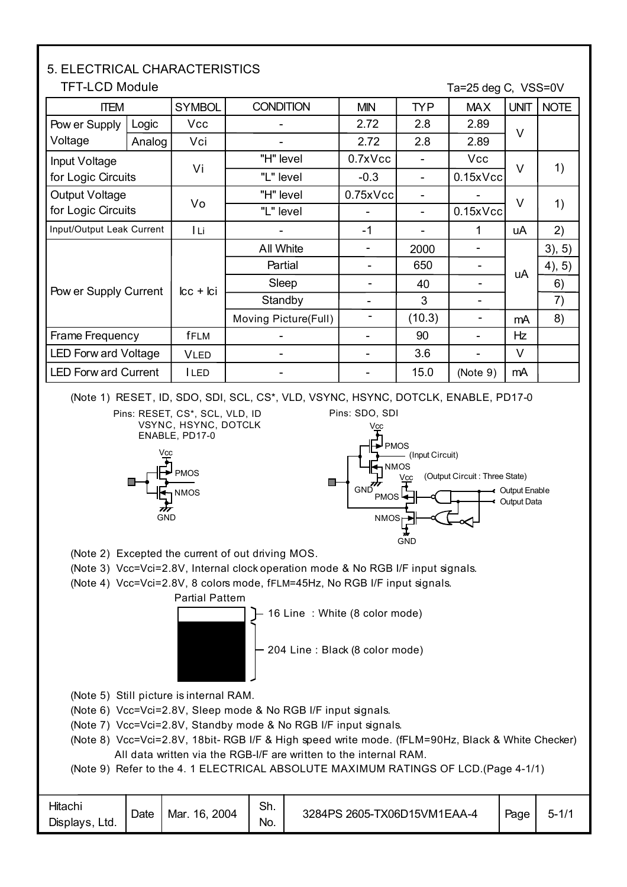#### Ta=25 deg C, VSS=0V NOTE 3), 5) 4), 5) TFT-LCD Module ITEM Logic | Vcc Vi Icc + Ici fFLM - "H" level "L" level All White - Input Voltage for Logic Circuits Pow er Supply Current Frame Frequency SYMBOL CONDITION | MIN | TYP | MAX UNIT 2.72 0.7xVcc -0.3 - - 2.8 - - 90 2.89 Vcc 0.15xVcc - V V uA Hz Partial | -Analog | Vci | | 2.72 | 2.8 | 2.89 **Standby** LED Forw ard Voltage  $\vert$  VLED  $\vert$  -  $\vert$  -  $\vert$  -  $\vert$  3.6  $\vert$  -  $\vert$  V LED Forw ard Current | ILED | The Contract Left Left Contract Left And The Left And The Left And The Left And T - - - - 650 3 2000 Pow er Supply Voltage Output Voltage for Logic Circuits "H" level "L" level 0.75xVcc - - - - 0.15xVcc Vo <sup>V</sup> (Note 9) 1) 1) 2) 6) Input/Output Leak Current I Li - -1 - 1 uA Sleep Moving Picture(Full) | -- | 40 | --  $(10.3)$  -  $mA$ 7) 8) 5. ELECTRICAL CHARACTERISTICS

(Note 1) RESET, ID, SDO, SDI, SCL, CS\*, VLD, VSYNC, HSYNC, DOTCLK, ENABLE, PD17-0





Output Data Output Enable



**GND** 





(Note 4) Vcc=Vci=2.8V, 8 colors mode, fFLM=45Hz, No RGB I/F input signals.



 $\leftarrow$  16 Line : White (8 color mode)

204 Line : Black (8 color mode)

- (Note 5) Still picture is internal RAM.
- (Note 6) Vcc=Vci=2.8V, Sleep mode & No RGB I/F input signals.
- (Note 7) Vcc=Vci=2.8V, Standby mode & No RGB I/F input signals.
- (Note 8) Vcc=Vci=2.8V, 18bit- RGB I/F & High speed write mode. (fFLM=90Hz, Black & White Checker) All data written via the RGB-I/F are written to the internal RAM.
- (Note 9) Refer to the 4. 1 ELECTRICAL ABSOLUTE MAXIMUM RATINGS OF LCD.(Page 4-1/1)

| <b>Hitach</b><br>Displays,<br>Ltd. | Date | 2004<br>Mar.<br>16. | Sh.<br>No. | 3284PS 2605-TX06D15VM1EAA-4 | Page | .- |  |
|------------------------------------|------|---------------------|------------|-----------------------------|------|----|--|
|------------------------------------|------|---------------------|------------|-----------------------------|------|----|--|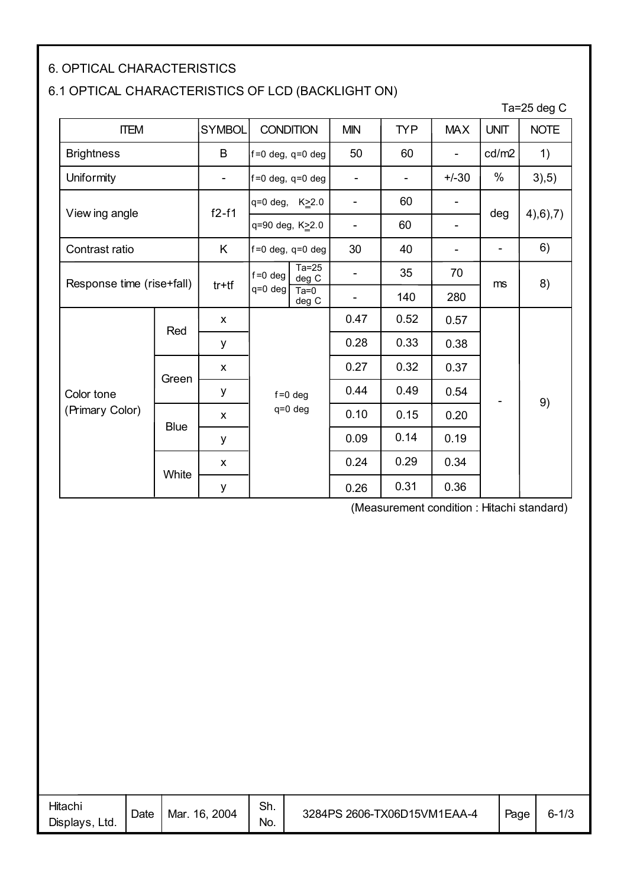#### 6. OPTICAL CHARACTERISTICS

#### 6.1 OPTICAL CHARACTERISTICS OF LCD (BACKLIGHT ON)

|                           |             |               |                        |                  |                          |                          |                          |                          | Ta=25 deg $C$ |  |
|---------------------------|-------------|---------------|------------------------|------------------|--------------------------|--------------------------|--------------------------|--------------------------|---------------|--|
| <b>ITEM</b>               |             | <b>SYMBOL</b> | <b>CONDITION</b>       |                  | <b>MIN</b>               | <b>TYP</b>               | <b>MAX</b>               | <b>UNIT</b>              | <b>NOTE</b>   |  |
| <b>Brightness</b>         |             | B             | $f=0$ deg, q=0 deg     |                  | 50                       | 60                       | $\overline{\phantom{a}}$ | cd/m2                    | 1)            |  |
| <b>Uniformity</b>         |             | -             | $f = 0$ deg, q=0 deg   |                  | -                        | $\overline{\phantom{a}}$ | $+/-30$                  | $\%$                     | 3,5)          |  |
| View ing angle            |             | $f2-f1$       | q=0 deg, K>2.0         |                  | $\overline{\phantom{0}}$ | 60                       |                          | deg                      |               |  |
|                           |             |               | q=90 deg, K≥2.0        |                  | $\overline{a}$           | 60                       |                          |                          | 4,6,7)        |  |
| Contrast ratio            |             | K.            | $f = 0$ deg, q=0 deg   |                  | 30                       | 40                       |                          | $\overline{\phantom{0}}$ | 6)            |  |
| Response time (rise+fall) |             |               | $f = 0$ deg<br>q=0 deg | $Ta=25$<br>deg C | -                        | 35                       | 70                       | ms                       | 8)            |  |
|                           |             | $tr+tf$       |                        | $Ta=0$<br>deg C  |                          | 140                      | 280                      |                          |               |  |
|                           | Red         | X             |                        |                  | 0.47                     | 0.52                     | 0.57                     |                          |               |  |
|                           |             | у             |                        |                  |                          | 0.28                     | 0.33                     | 0.38                     |               |  |
|                           | Green       | X             |                        |                  | 0.27                     | 0.32                     | 0.37                     |                          |               |  |
| Color tone                |             | у             |                        | $f = 0$ deg      | 0.44                     | 0.49                     | 0.54                     |                          | 9)            |  |
| (Primary Color)           | <b>Blue</b> | X             |                        | q=0 deg          | 0.10                     | 0.15                     | 0.20                     |                          |               |  |
|                           |             | у             |                        |                  |                          | 0.14                     | 0.19                     |                          |               |  |
|                           |             |               |                        |                  | 0.24                     | 0.29                     | 0.34                     |                          |               |  |
|                           | White       | у             |                        |                  | 0.26                     | 0.31                     | 0.36                     |                          |               |  |

(Measurement condition : Hitachi standard)

| Hitachi<br>Displays.<br>Ltd. | Date | 16, 2004<br>Mar. | Sh.<br>No. | 3284PS 2606-TX06D15VM1EAA-4 | Page | $6 - 1/3$ |
|------------------------------|------|------------------|------------|-----------------------------|------|-----------|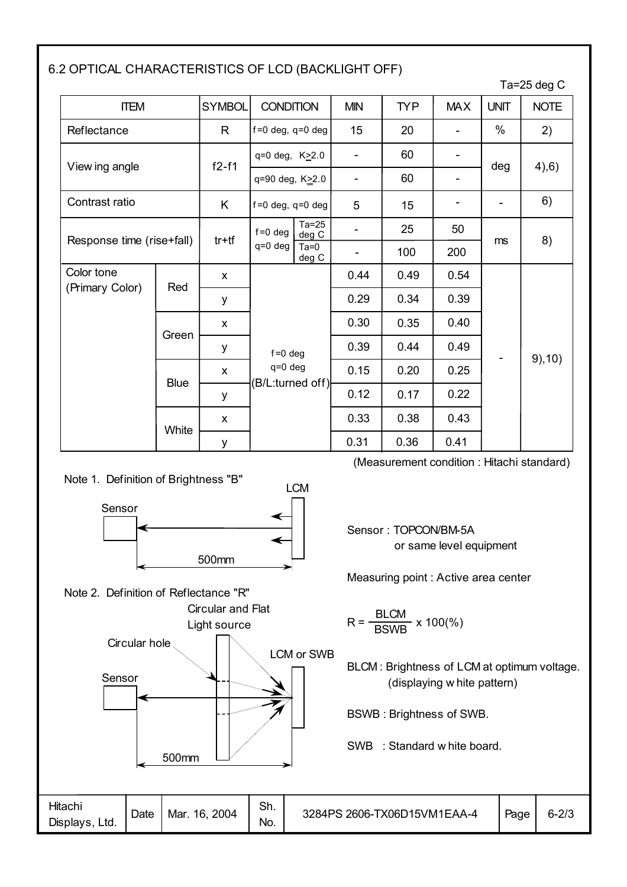#### 6.2 OPTICAL CHARACTERISTICS OF LCD (BACKLIGHT OFF)

|                           |             |               |                                          |                  |            |            |            |             | Ta=25 deg $C$ |  |
|---------------------------|-------------|---------------|------------------------------------------|------------------|------------|------------|------------|-------------|---------------|--|
| <b>ITEM</b>               |             | <b>SYMBOL</b> | <b>CONDITION</b>                         |                  | <b>MIN</b> | <b>TYP</b> | <b>MAX</b> | <b>UNIT</b> | <b>NOTE</b>   |  |
| Reflectance               |             | R             | $f=0$ deg, $q=0$ deg                     |                  | 15         | 20         |            | $\%$        | 2)            |  |
|                           |             |               | $q=0$ deg, $K \ge 2.0$                   |                  |            | 60         |            |             |               |  |
| View ing angle            |             | $f2-f1$       | q=90 deg, K22.0                          |                  |            | 60         |            | deg         | 4,6)          |  |
| Contrast ratio            |             | Κ             | $f=0$ deg, $q=0$ deg                     |                  | 5          | 15         |            |             | 6)            |  |
|                           |             |               | $f = 0$ deg                              | $Ta=25$<br>deg C |            | 25         | 50         |             |               |  |
| Response time (rise+fall) |             | $tr+tf$       | $q=0$ deg                                | $Ta=0$<br>deg C  | ۰          | 100        | 200        | ms          | 8)            |  |
| Color tone                |             | X             |                                          |                  | 0.44       | 0.49       | 0.54       |             |               |  |
| (Primary Color)           | Red         | у             |                                          |                  |            | 0.29       | 0.34       | 0.39        |               |  |
|                           |             | X             |                                          |                  | 0.30       | 0.35       | 0.40       |             |               |  |
|                           | Green       | у             | $f = 0$ deg                              |                  | 0.39       | 0.44       | 0.49       |             |               |  |
|                           | <b>Blue</b> | X             | q=0 deg<br>(B/L:turned off) <del> </del> |                  | 0.15       | 0.20       | 0.25       |             | 9,10)         |  |
|                           |             | y             |                                          |                  | 0.12       | 0.17       | 0.22       |             |               |  |
|                           |             | X             |                                          |                  | 0.33       | 0.38       | 0.43       |             |               |  |
|                           | White       | у             |                                          |                  | 0.31       | 0.36       | 0.41       |             |               |  |

Note 1. Definition of Brightness "B"



Note 2. Definition of Reflectance "R" Circular and Flat (Measurement condition : Hitachi standard)

Sensor : TOPCON/BM-5A or same level equipment

Measuring point : Active area center

Hitachi Displays, Ltd. Sh. No. Date Mar. 16, 2004 Page Light source Sensor Circular hole LCM or SWB 500mm BLCM : Brightness of LCM at optimum voltage. (displaying w hite pattern) BSWB : Brightness of SWB. SWB : Standard w hite board. BLCM BSWB R = x 100(%) 3284PS 2606-TX06D15VM1EAA-4 6-2/3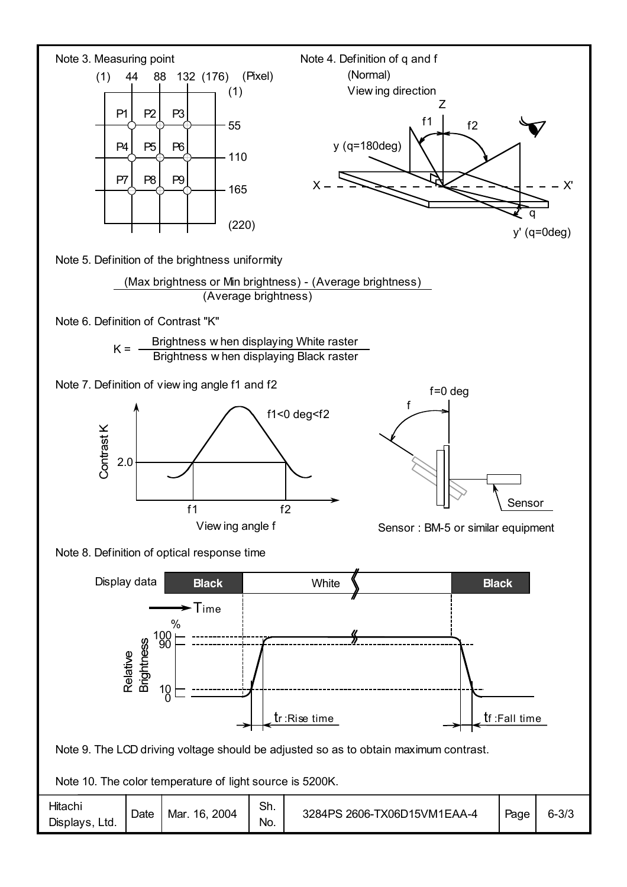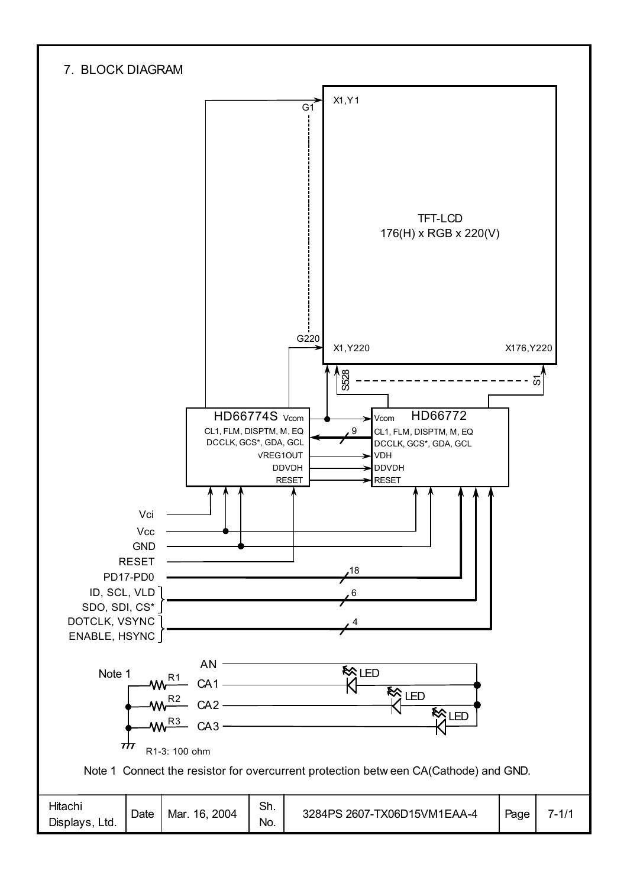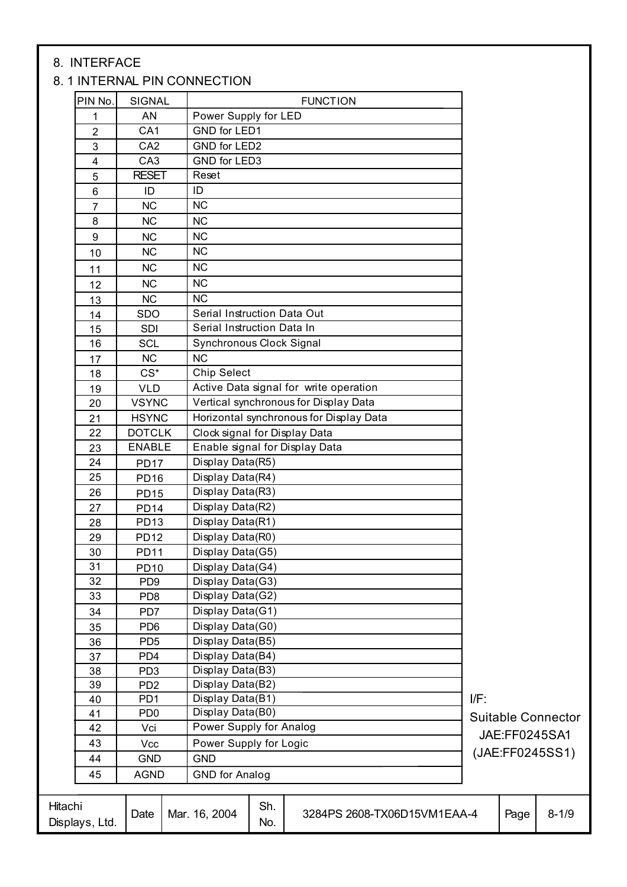#### 8. INTERFACE

#### 8. 1 INTERNAL PIN CONNECTION

| PIN No.                   | <b>SIGNAL</b>    | <b>FUNCTION</b>                                            |     |               |                           |
|---------------------------|------------------|------------------------------------------------------------|-----|---------------|---------------------------|
| 1                         | AN               | Power Supply for LED                                       |     |               |                           |
| $\overline{2}$            | CA <sub>1</sub>  | GND for LED1                                               |     |               |                           |
| 3                         | CA <sub>2</sub>  | GND for LED2                                               |     |               |                           |
| 4                         | CA <sub>3</sub>  | <b>GND for LED3</b>                                        |     |               |                           |
| 5                         | <b>RESET</b>     | Reset                                                      |     |               |                           |
| $\,6\,$                   | ID               | ID                                                         |     |               |                           |
| 7                         | <b>NC</b>        | <b>NC</b>                                                  |     |               |                           |
| $\bf 8$                   | <b>NC</b>        | <b>NC</b>                                                  |     |               |                           |
| $\boldsymbol{9}$          | <b>NC</b>        | <b>NC</b>                                                  |     |               |                           |
| 10                        | <b>NC</b>        | <b>NC</b>                                                  |     |               |                           |
|                           | <b>NC</b>        | NC                                                         |     |               |                           |
| 11                        |                  | <b>NC</b>                                                  |     |               |                           |
| 12                        | <b>NC</b>        |                                                            |     |               |                           |
| 13                        | NC               | <b>NC</b>                                                  |     |               |                           |
| 14                        | <b>SDO</b>       | Serial Instruction Data Out<br>Serial Instruction Data In  |     |               |                           |
| 15                        | SDI              |                                                            |     |               |                           |
| 16                        | SCL              | Synchronous Clock Signal                                   |     |               |                           |
| 17                        | <b>NC</b>        | <b>NC</b>                                                  |     |               |                           |
| 18                        | $CS^*$           | <b>Chip Select</b>                                         |     |               |                           |
| 19                        | <b>VLD</b>       | Active Data signal for write operation                     |     |               |                           |
| 20                        | <b>VSYNC</b>     | Vertical synchronous for Display Data                      |     |               |                           |
| 21                        | <b>HSYNC</b>     | Horizontal synchronous for Display Data                    |     |               |                           |
| 22                        | <b>DOTCLK</b>    | Clock signal for Display Data                              |     |               |                           |
| 23                        | <b>ENABLE</b>    | Enable signal for Display Data                             |     |               |                           |
| 24                        | <b>PD17</b>      | Display Data(R5)                                           |     |               |                           |
| 25                        | PD <sub>16</sub> | Display Data(R4)                                           |     |               |                           |
| 26                        | <b>PD15</b>      | Display Data(R3)                                           |     |               |                           |
| 27                        | <b>PD14</b>      | Display Data(R2)                                           |     |               |                           |
| 28                        | PD <sub>13</sub> | Display Data(R1)                                           |     |               |                           |
| 29                        | <b>PD12</b>      | Display Data(R0)                                           |     |               |                           |
| 30                        | <b>PD11</b>      | Display Data(G5)                                           |     |               |                           |
| 31                        | <b>PD10</b>      | Display Data(G4)                                           |     |               |                           |
| 32                        | PD <sub>9</sub>  | Display Data(G3)                                           |     |               |                           |
| 33                        | PD <sub>8</sub>  | Display Data(G2)                                           |     |               |                           |
| 34                        | PD7              | Display Data(G1)                                           |     |               |                           |
| 35                        | PD <sub>6</sub>  | Display Data(G0)                                           |     |               |                           |
| 36                        | PD <sub>5</sub>  | Display Data(B5)                                           |     |               |                           |
| 37                        | PD <sub>4</sub>  | Display Data(B4)                                           |     |               |                           |
| 38                        | PD <sub>3</sub>  | Display Data(B3)                                           |     |               |                           |
| 39                        | PD <sub>2</sub>  | Display Data(B2)                                           |     |               |                           |
| 40                        | PD <sub>1</sub>  | Display Data(B1)                                           | IF: |               |                           |
| 41                        | PD <sub>0</sub>  | Display Data(B0)                                           |     |               | <b>Suitable Connector</b> |
| 42                        | Vci              | Power Supply for Analog                                    |     | JAE:FF0245SA1 |                           |
| 43                        | Vcc              | Power Supply for Logic                                     |     |               | (JAE:FF0245SS1)           |
| 44                        | <b>GND</b>       | <b>GND</b>                                                 |     |               |                           |
| 45                        | <b>AGND</b>      | <b>GND</b> for Analog                                      |     |               |                           |
| Hitachi<br>Displays, Ltd. | Date             | Sh.<br>Mar. 16, 2004<br>3284PS 2608-TX06D15VM1EAA-4<br>No. |     | Page          | $8 - 1/9$                 |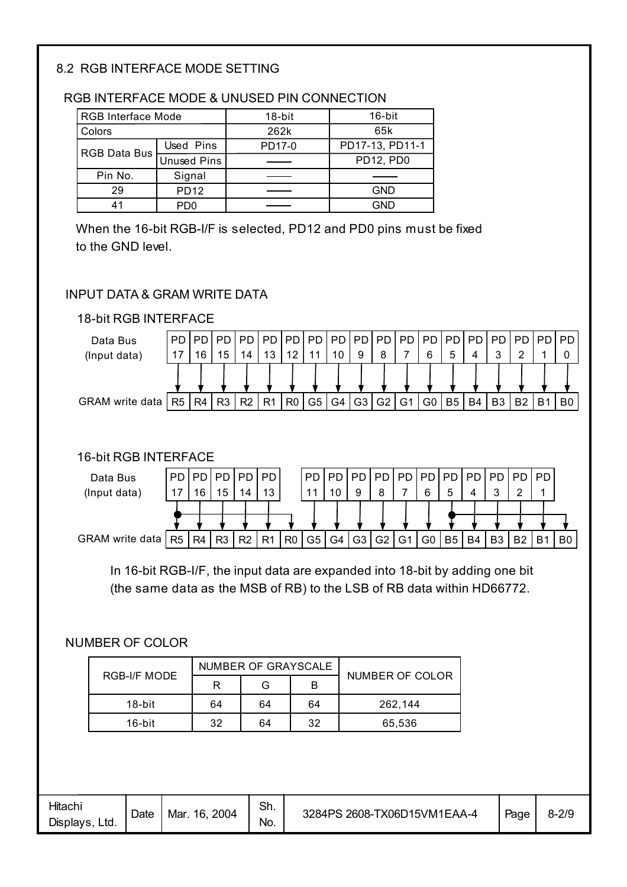#### 8.2 RGB INTERFACE MODE SETTING

#### RGB INTERFACE MODE & UNUSED PIN CONNECTION

| RGB Interface Mode |                    | 18-bit | 16-bit          |  |
|--------------------|--------------------|--------|-----------------|--|
| Colors             |                    | 262k   | 65k             |  |
| RGB Data Bus       | Used Pins          | PD17-0 | PD17-13, PD11-1 |  |
|                    | <b>Unused Pins</b> |        | PD12, PD0       |  |
| Pin No.            | Signal             |        |                 |  |
| 29                 | <b>PD12</b>        |        | <b>GND</b>      |  |
| 41                 | PD0                |        | GND             |  |

When the 16-bit RGB-I/F is selected, PD12 and PD0 pins must be fixed to the GND level.

#### INPUT DATA & GRAM WRITE DATA





#### 16-bit RGB INTERFACE



In 16-bit RGB-I/F, the input data are expanded into 18-bit by adding one bit (the same data as the MSB of RB) to the LSB of RB data within HD66772.

#### NUMBER OF COLOR

|              |    | NUMBER OF GRAYSCALE | NUMBER OF COLOR |         |
|--------------|----|---------------------|-----------------|---------|
| RGB-I/F MODE |    | G                   |                 |         |
| $18$ -bit    | 64 | 64                  | 64              | 262.144 |
| $16$ -bit    | 32 | 64                  | 32              | 65,536  |

| Hitachi<br>Displays,<br>Ltd. | Date | 2004<br>Mar<br>16. | Sh.<br>No. | 3 2608-TX06D15VM1EAA-4<br>3284PS | Page | $8 - 2/9$ |
|------------------------------|------|--------------------|------------|----------------------------------|------|-----------|
|------------------------------|------|--------------------|------------|----------------------------------|------|-----------|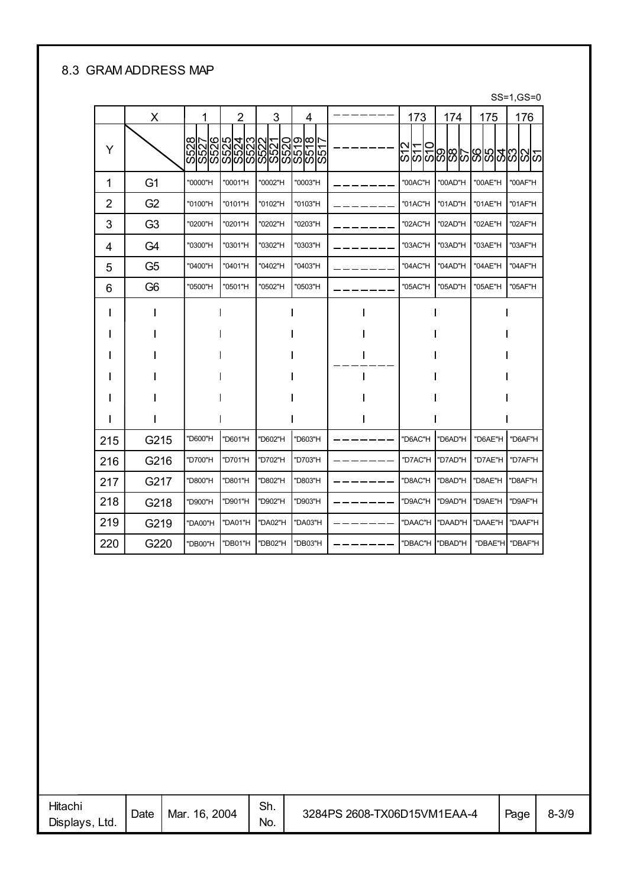#### 8.3 GRAM ADDRESS MAP

#### SS=1,GS=0

|                | х              | 1       | 2                                                                                                               | 3       | 4       | 173     | 174     | 175     | 176          |
|----------------|----------------|---------|-----------------------------------------------------------------------------------------------------------------|---------|---------|---------|---------|---------|--------------|
| Y              |                |         | လျှပ်ပြီးလုပ်ပြီးလုပ်ပြီးလုပ်ပြီး<br>မြို့ပြီးပြီးလုပ်ပြီးပြီးပြီးပြီး<br>မြို့ပြီးပြီးပြီးပြီးပြီးပြီးပြီးပြီး |         |         |         |         |         | 의의업업업업의영업의의의 |
| 1              | G <sub>1</sub> | "0000"H | "0001"H                                                                                                         | "0002"H | "0003"H | "00AC"H | "00AD"H | "00AE"H | "00AF"H      |
| $\overline{2}$ | G <sub>2</sub> | "0100"H | "0101"H                                                                                                         | "0102"H | "0103"H | "01AC"H | "01AD"H | "01AE"H | "01AF"H      |
| 3              | G <sub>3</sub> | "0200"H | "0201"H                                                                                                         | "0202"H | "0203"H | "02AC"H | "02AD"H | "02AE"H | "02AF"H      |
| 4              | G4             | "0300"H | "0301"H                                                                                                         | "0302"H | "0303"H | "03AC"H | "03AD"H | "03AE"H | "03AF"H      |
| 5              | G5             | "0400"H | "0401"H                                                                                                         | "0402"H | "0403"H | "04AC"H | "04AD"H | "04AE"H | "04AF"H      |
| 6              | G6             | "0500"H | "0501"H                                                                                                         | "0502"H | "0503"H | "05AC"H | "05AD"H | "05AE"H | "05AF"H      |
|                |                |         |                                                                                                                 |         |         |         |         |         |              |
|                |                |         |                                                                                                                 |         |         |         |         |         |              |
|                |                |         |                                                                                                                 |         |         |         |         |         |              |
|                |                |         |                                                                                                                 |         |         |         |         |         |              |
|                |                |         |                                                                                                                 |         |         |         |         |         |              |
|                |                |         |                                                                                                                 |         |         |         |         |         |              |
| 215            | G215           | "D600"H | 'D601"H                                                                                                         | 'D602"H | "D603"H | "D6AC"H | "D6AD"H | "D6AE"H | "D6AF"H      |
| 216            | G216           | "D700"H | 'D701"H                                                                                                         | 'D702"H | "D703"H | "D7AC"H | "D7AD"H | "D7AE"H | "D7AF"H      |
| 217            | G217           | "D800"H | "D801"H                                                                                                         | "D802"H | "D803"H | "D8AC"H | "D8AD"H | "D8AE"H | "D8AF"H      |
| 218            | G218           | "D900"H | 'D901"H                                                                                                         | 'D902"H | "D903"H | "D9AC"H | "D9AD"H | "D9AE"H | "D9AF"H      |
| 219            | G219           | "DA00"H | "DA01"H                                                                                                         | "DA02"H | "DA03"H | "DAAC"H | "DAAD"H | "DAAE"H | "DAAF"H      |
| 220            | G220           | "DB00"H | 'DB01"H                                                                                                         | 'DB02"H | "DB03"H | "DBAC"H | "DBAD"H | "DBAE"H | "DBAF"H      |

| Hitachi<br>Displays,<br>Ltd. | Date | 2004<br>Mar.<br>16. | Sh.<br>No. | 3284PS 2608-TX06D15VM1EAA-4 | Page | $8 - 3/9$ |
|------------------------------|------|---------------------|------------|-----------------------------|------|-----------|
|                              |      |                     |            |                             |      |           |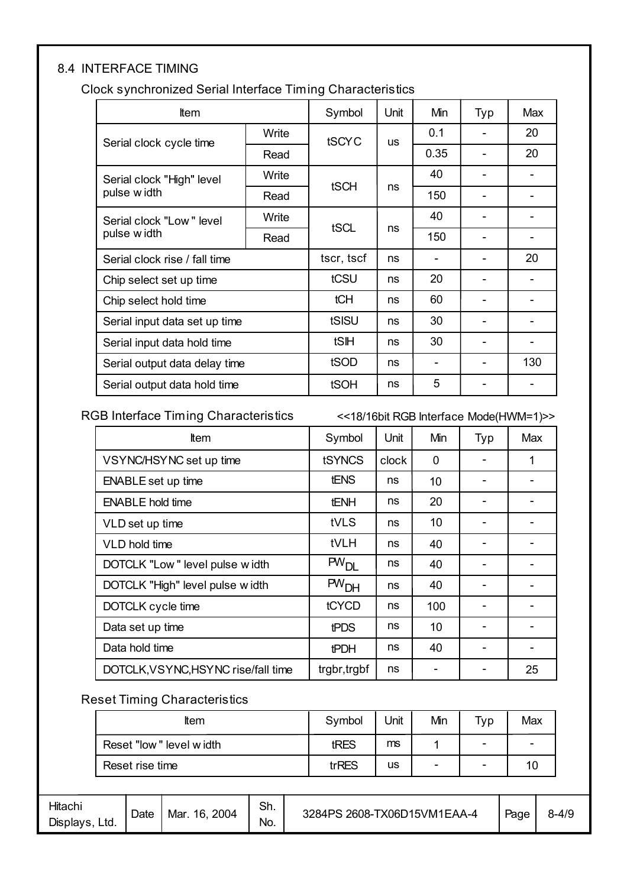#### 8.4 INTERFACE TIMING

Clock synchronized Serial Interface Timing Characteristics

| <b>t</b> em                   |       | Symbol     | Unit      | Min  | Typ | Max |
|-------------------------------|-------|------------|-----------|------|-----|-----|
| Serial clock cycle time       | Write | tSCYC      | <b>US</b> | 0.1  |     | 20  |
|                               | Read  |            |           | 0.35 |     | 20  |
| Serial clock "High" level     | Write | tSCH       | ns        | 40   |     |     |
| pulse w idth                  | Read  |            |           | 150  |     |     |
| Serial clock "Low" level      | Write | tSCL       |           | 40   |     |     |
| pulse w idth                  | Read  |            | ns        | 150  |     |     |
| Serial clock rise / fall time |       | tscr, tscf | ns        |      |     | 20  |
| Chip select set up time       |       | tCSU       | ns        | 20   |     |     |
| Chip select hold time         |       | tCH        | ns        | 60   |     |     |
| Serial input data set up time |       | tSISU      | ns        | 30   |     |     |
| Serial input data hold time   |       | tSIH       | ns        | 30   |     |     |
| Serial output data delay time |       | tSOD       | ns        |      |     | 130 |
| Serial output data hold time  |       | tSOH       | ns        | 5    |     |     |

RGB Interface Timing Characteristics <<18/16bit RGB Interface Mode(HWM=1)>>

| <b>Item</b>                         | Symbol           | Unit  | Min | Typ | Max |
|-------------------------------------|------------------|-------|-----|-----|-----|
| VSYNC/HSYNC set up time             | tSYNCS           | clock | 0   |     | 1   |
| <b>ENABLE</b> set up time           | <b>tENS</b>      | ns    | 10  |     |     |
| <b>ENABLE hold time</b>             | <b>tENH</b>      | ns    | 20  |     |     |
| VLD set up time                     | tVLS             | ns    | 10  |     |     |
| VLD hold time                       | tVLH             | ns    | 40  |     |     |
| DOTCLK "Low" level pulse width      | PW <sub>DI</sub> | ns    | 40  |     |     |
| DOTCLK "High" level pulse width     | PW <sub>DH</sub> | ns    | 40  |     |     |
| DOTCLK cycle time                   | tCYCD            | ns    | 100 |     |     |
| Data set up time                    | <b>tPDS</b>      | ns    | 10  |     |     |
| Data hold time                      | <b>tPDH</b>      | ns    | 40  |     |     |
| DOTCLK, VSYNC, HSYNC rise/fall time | trgbr, trgbf     | ns    |     |     | 25  |

#### Reset Timing Characteristics

| <b>Item</b>             | Symbol | Unit | Min | Typ                      | Max |
|-------------------------|--------|------|-----|--------------------------|-----|
| Reset "low" level width | tRES   | ms   |     | $\overline{\phantom{0}}$ | -   |
| Reset rise time         | trRES  | us   | -   | -                        |     |

| Hitachi<br>Displays,<br>Ltd. | Date | 2004<br>16.<br>Mar. | Sh.<br>No. | 3284PS 2608-TX06D15VM1EAA-4 | Page | $8 - 4/9$ |
|------------------------------|------|---------------------|------------|-----------------------------|------|-----------|
|------------------------------|------|---------------------|------------|-----------------------------|------|-----------|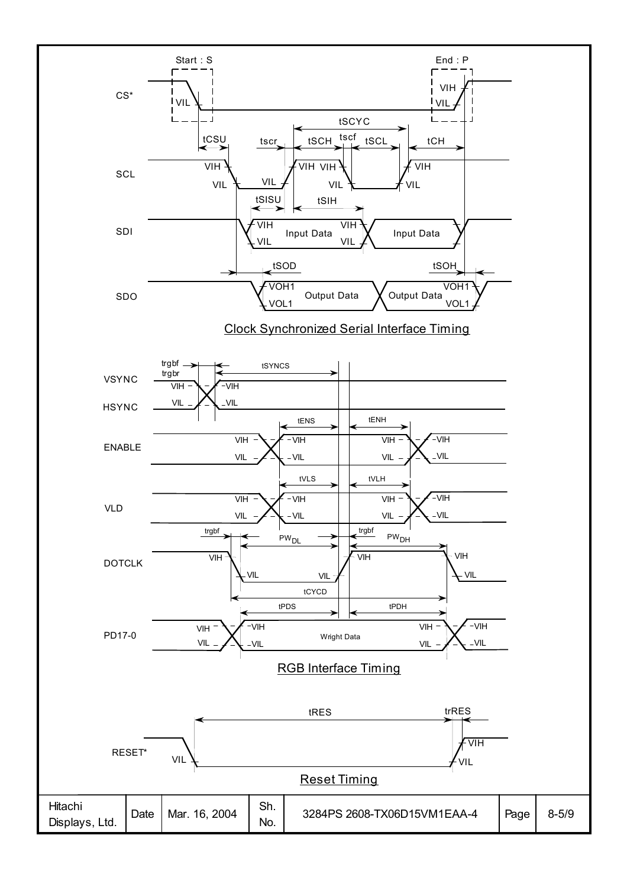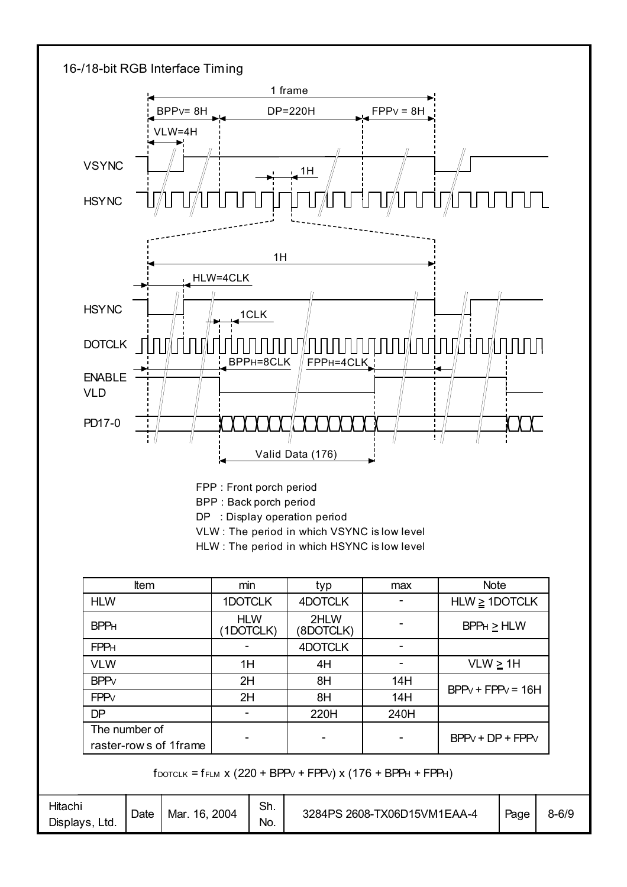

FPP : Front porch period BPP : Back porch period DP : Display operation period

- VLW : The period in which VSYNC is low level
- HLW : The period in which HSYNC is low level

| <b>Item</b>                            | min                     | typ               | max  | <b>Note</b>         |
|----------------------------------------|-------------------------|-------------------|------|---------------------|
| <b>HLW</b>                             | 1DOTCLK                 | 4DOTCLK           |      | $HLW \geq 1$ DOTCLK |
| <b>BPPH</b>                            | <b>HLW</b><br>(1DOTCLK) | 2HLW<br>(8DOTCLK) |      | $BPPH \geq HLW$     |
| <b>FPPH</b>                            |                         | 4DOTCLK           |      |                     |
| <b>VLW</b>                             | 1H                      | 4H                |      | $VLW \geq 1H$       |
| <b>BPP</b> <sub>V</sub>                | 2H                      | 8H                | 14H  | $BPPv + FPPv = 16H$ |
| <b>FPP</b> <sub>V</sub>                | 2H                      | 8H                | 14H  |                     |
| <b>DP</b>                              |                         | 220H              | 240H |                     |
| The number of<br>raster-rows of 1frame |                         | -                 |      | $BPPV + DP + FPPV$  |

 $f_{DOTCLK} = f_{FLM}$  x (220 + BPP $V$  + FPP $V$ ) x (176 + BPP $H$  + FPP $H$ )

| Sh.<br>Hitachi<br>2608-TX06D15VM1EAA-4<br>3284PS<br>2004<br>Mar<br>16.<br>Date<br>No.<br>Displays,<br>Ltd. | $8 - 6/9$<br>Page |
|------------------------------------------------------------------------------------------------------------|-------------------|
|------------------------------------------------------------------------------------------------------------|-------------------|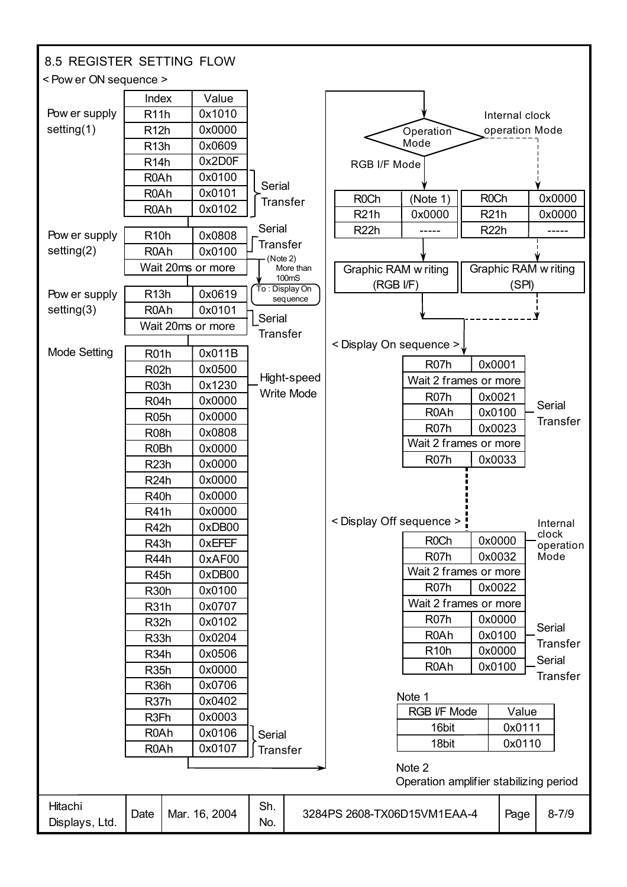| 8.5 REGISTER SETTING FLOW |                                        |                   |                 |                            |                                        |                                            |                   |                      |                   |
|---------------------------|----------------------------------------|-------------------|-----------------|----------------------------|----------------------------------------|--------------------------------------------|-------------------|----------------------|-------------------|
| < Pow er ON sequence >    |                                        |                   |                 |                            |                                        |                                            |                   |                      |                   |
|                           | Index                                  | Value             |                 |                            |                                        |                                            |                   |                      |                   |
| Pow er supply             | R <sub>11</sub> h                      | 0x1010            |                 |                            |                                        |                                            |                   | Internal clock       |                   |
| setting $(1)$             | R <sub>12</sub> h                      | 0x0000            |                 |                            |                                        | Operation                                  |                   | operation Mode       |                   |
|                           | R <sub>13</sub> h                      | 0x0609            |                 |                            |                                        | Mode                                       |                   |                      |                   |
|                           | R <sub>14</sub> h                      | 0x2D0F            |                 |                            | RGB I/F Mode                           |                                            |                   |                      |                   |
|                           | R <sub>0</sub> Ah                      | 0x0100            | Serial          |                            |                                        |                                            |                   |                      |                   |
|                           | R <sub>0</sub> Ah                      | 0x0101            | <b>Transfer</b> |                            | R <sub>0</sub> Ch                      | (Note 1)                                   | <b>ROCh</b>       |                      | 0x0000            |
|                           | R <sub>0</sub> Ah                      | 0x0102            |                 |                            | <b>R21h</b>                            | 0x0000                                     | R21h              |                      | 0x0000            |
| Pow er supply             | R <sub>10</sub> h                      | 0x0808            | Serial          |                            | R <sub>22</sub> h                      |                                            | R <sub>22</sub> h |                      |                   |
| setting $(2)$             | R <sub>0</sub> Ah                      | 0x0100            | Transfer        |                            |                                        |                                            |                   |                      |                   |
|                           |                                        | Wait 20ms or more | (Note 2)        | More than                  | Graphic RAM w riting                   |                                            |                   | Graphic RAM w riting |                   |
|                           |                                        |                   |                 | 100mS                      | (RGB I/F)                              |                                            |                   | (SPI)                |                   |
| Pow er supply             | R <sub>13</sub> h                      | 0x0619            |                 | To: Display On<br>sequence |                                        |                                            |                   |                      |                   |
| setting(3)                | R <sub>0</sub> Ah                      | 0x0101            | Serial          |                            |                                        |                                            |                   |                      |                   |
|                           |                                        | Wait 20ms or more | <b>Transfer</b> |                            |                                        |                                            |                   |                      |                   |
| <b>Mode Setting</b>       | R <sub>01</sub> h                      | 0x011B            |                 |                            | $\leq$ Display On sequence $\geq \int$ |                                            |                   |                      |                   |
|                           | R <sub>02</sub> h                      | 0x0500            |                 |                            |                                        | R <sub>07</sub> h                          |                   | 0x0001               |                   |
|                           | <b>R03h</b>                            | 0x1230            |                 | Hight-speed                |                                        | Wait 2 frames or more                      |                   |                      |                   |
|                           | <b>R04h</b>                            | 0x0000            |                 | <b>Write Mode</b>          |                                        | R <sub>07</sub> h                          |                   | 0x0021               |                   |
|                           | <b>R05h</b>                            | 0x0000            |                 |                            |                                        | R <sub>0</sub> Ah                          |                   | 0x0100               | Serial            |
|                           | R <sub>08</sub> h                      | 0x0808            |                 |                            |                                        | R <sub>07</sub> h                          |                   | 0x0023               | <b>Transfer</b>   |
|                           | R <sub>0</sub> Bh                      | 0x0000            |                 |                            |                                        | Wait 2 frames or more                      |                   |                      |                   |
|                           | R <sub>23</sub> h                      | 0x0000            |                 |                            |                                        | R <sub>07</sub> h                          |                   | 0x0033               |                   |
|                           | R <sub>24</sub> h                      | 0x0000            |                 |                            |                                        |                                            |                   |                      |                   |
|                           | <b>R40h</b>                            | 0x0000            |                 |                            |                                        |                                            |                   |                      |                   |
|                           | R <sub>41</sub> h                      | 0x0000            |                 |                            |                                        |                                            |                   |                      |                   |
|                           | R <sub>42</sub> h                      | 0xDB00            |                 |                            | < Display Off sequence > "             |                                            |                   |                      | Internal<br>clock |
|                           | R <sub>43</sub> h                      | 0xEFEF            |                 |                            |                                        | R <sub>0</sub> Ch                          |                   | 0x0000               | operation         |
|                           | R44h                                   | 0xAF00            |                 |                            |                                        | R <sub>07</sub> h                          |                   | 0x0032               | Mode              |
|                           | R <sub>45</sub> h                      | 0xDB00            |                 |                            |                                        | Wait 2 frames or more<br>R <sub>07</sub> h |                   | 0x0022               |                   |
|                           | <b>R30h</b>                            | 0x0100            |                 |                            |                                        | Wait 2 frames or more                      |                   |                      |                   |
|                           | R <sub>31</sub> h                      | 0x0707            |                 |                            |                                        | R <sub>07</sub> h                          |                   | 0x0000               |                   |
|                           | R <sub>32</sub> h                      | 0x0102            |                 |                            |                                        | R <sub>0</sub> Ah                          |                   | 0x0100               | Serial            |
|                           | R <sub>33</sub> h                      | 0x0204<br>0x0506  |                 |                            |                                        | R <sub>10</sub> h                          |                   | 0x0000               | <b>Transfer</b>   |
|                           | R <sub>34</sub> h<br>R <sub>35</sub> h | 0x0000            |                 |                            |                                        | R <sub>0</sub> Ah                          |                   | 0x0100               | Serial            |
|                           | R <sub>36</sub> h                      | 0x0706            |                 |                            |                                        |                                            |                   |                      | Transfer          |
|                           | R <sub>37</sub> h                      | 0x0402            |                 |                            |                                        | Note 1                                     |                   |                      |                   |
|                           | R <sub>3Fh</sub>                       | 0x0003            |                 |                            |                                        | RGB I/F Mode                               |                   | Value                |                   |
|                           | R <sub>0</sub> Ah                      | 0x0106            | Serial          |                            |                                        | 16bit                                      |                   | 0x0111               |                   |
|                           | R <sub>0</sub> Ah                      | 0x0107            | <b>Transfer</b> |                            |                                        | 18bit                                      |                   | 0x0110               |                   |
|                           |                                        |                   |                 |                            |                                        | Note 2                                     |                   |                      |                   |
|                           |                                        |                   |                 |                            |                                        | Operation amplifier stabilizing period     |                   |                      |                   |
| Hitachi                   |                                        |                   | Sh.             |                            |                                        |                                            |                   |                      |                   |
| Displays, Ltd.            | Date                                   | Mar. 16, 2004     | No.             |                            | 3284PS 2608-TX06D15VM1EAA-4            |                                            |                   | Page                 | $8 - 7/9$         |
|                           |                                        |                   |                 |                            |                                        |                                            |                   |                      |                   |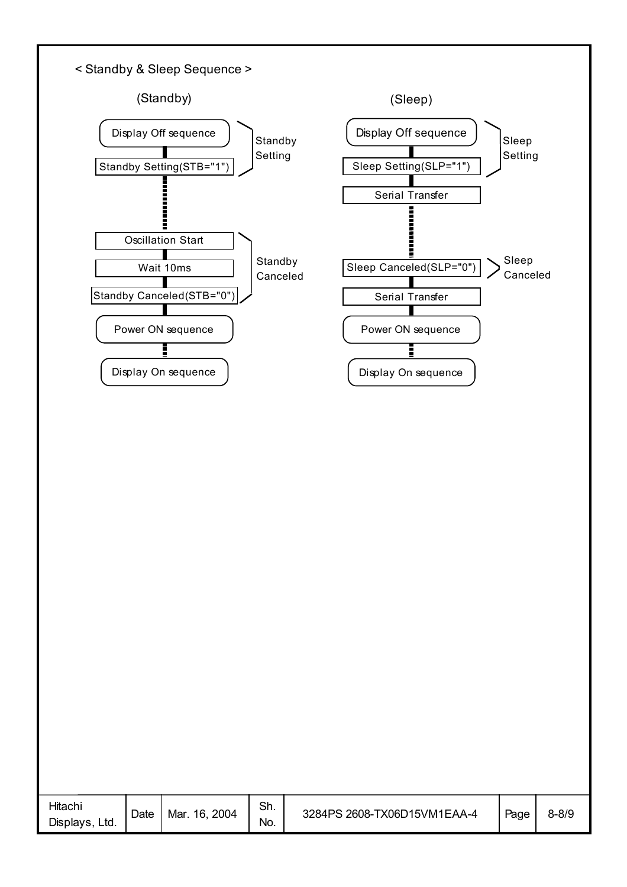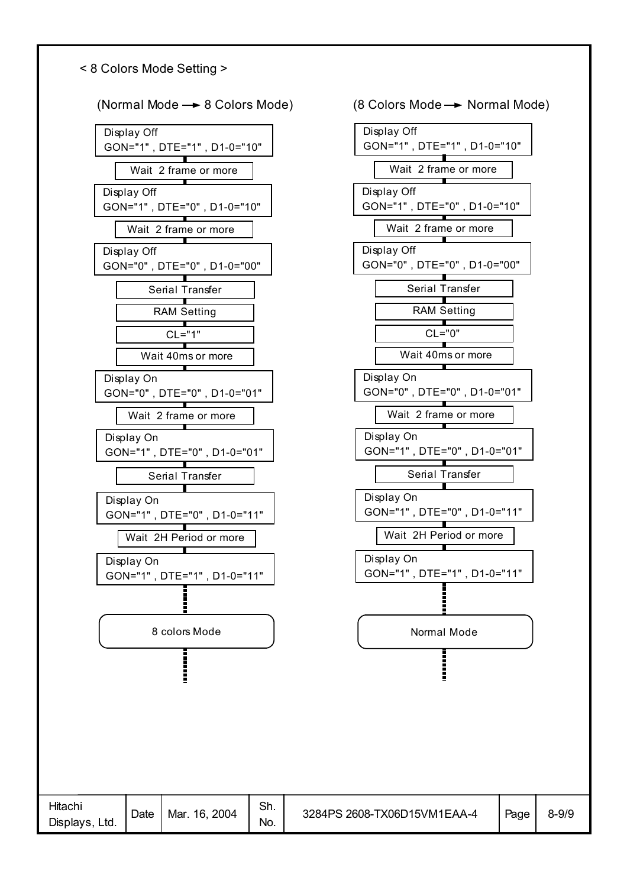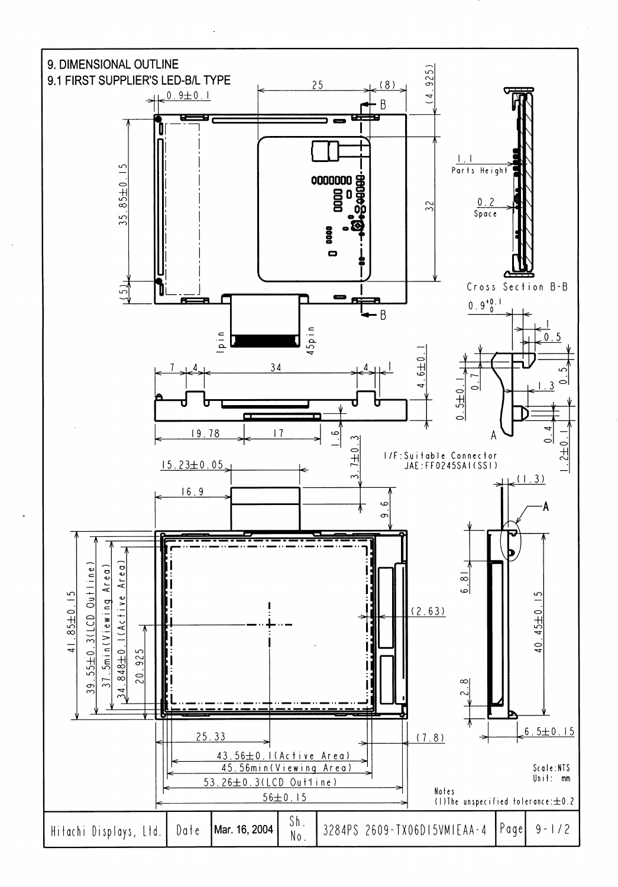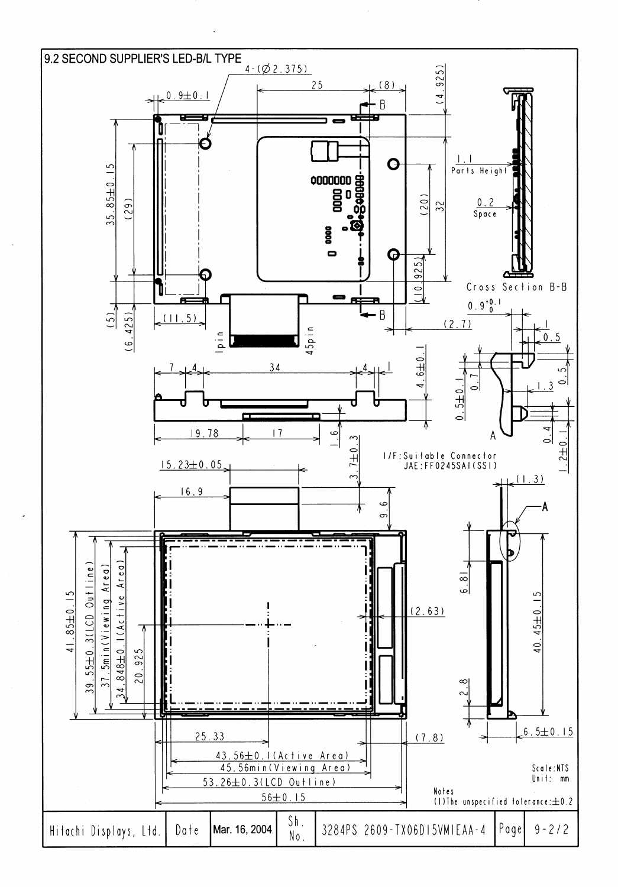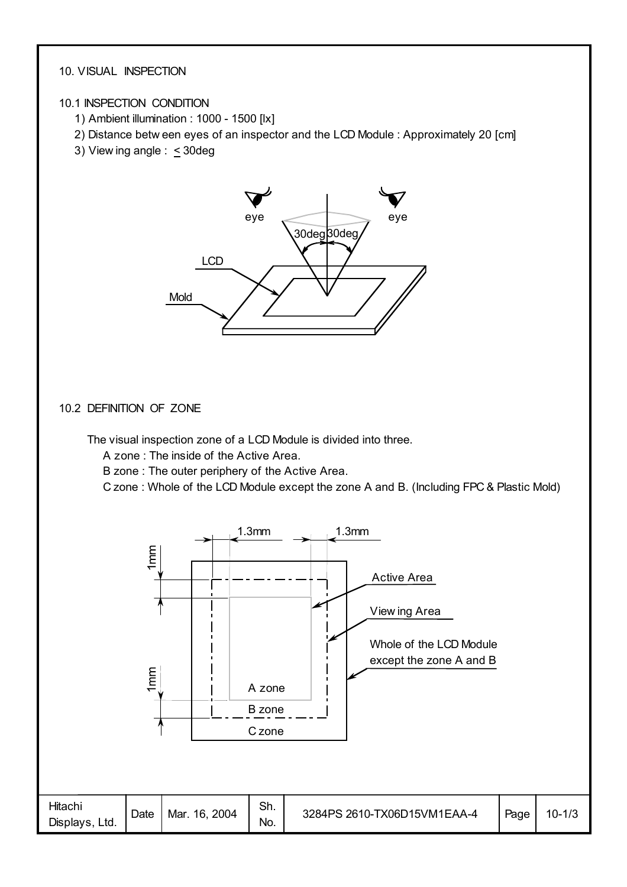#### 10. VISUAL INSPECTION

#### 10.1 INSPECTION CONDITION

- 1) Ambient illumination : 1000 1500 [lx]
- 2) Distance betw een eyes of an inspector and the LCD Module : Approximately 20 [cm]
- 3) View ing angle :  $\leq$  30deg



#### 10.2 DEFINITION OF ZONE

The visual inspection zone of a LCD Module is divided into three.

A zone : The inside of the Active Area.

B zone : The outer periphery of the Active Area.

C zone : Whole of the LCD Module except the zone A and B. (Including FPC & Plastic Mold)

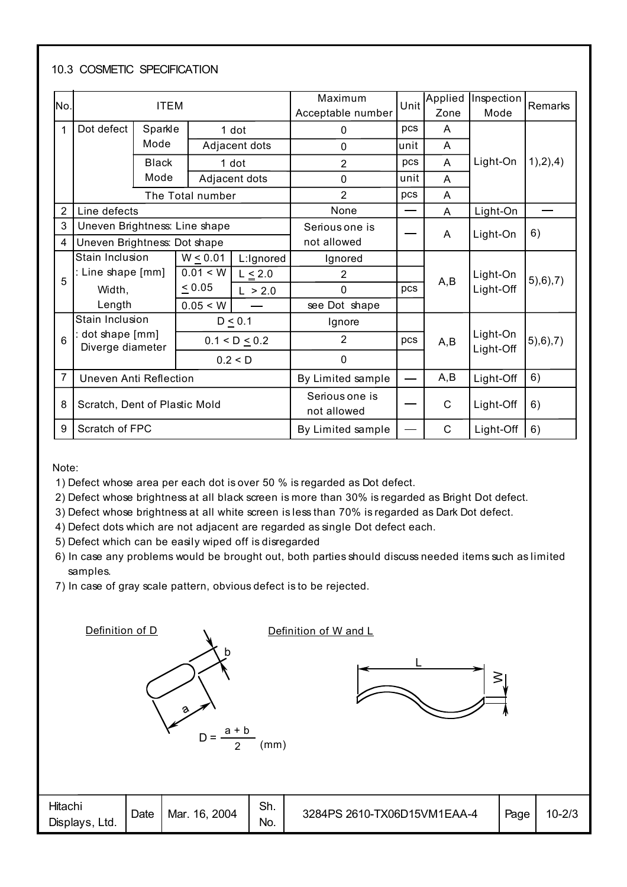#### 10.3 COSMETIC SPECIFICATION

| No.            |                                    | <b>ITEM</b>  |                  |                   | Maximum<br>Acceptable number  | Unit | Applied<br>Zone | Inspection<br>Mode    | Remarks    |
|----------------|------------------------------------|--------------|------------------|-------------------|-------------------------------|------|-----------------|-----------------------|------------|
| 1              | Dot defect                         | Sparkle      |                  | 1 dot             | 0                             | pcs  | A               |                       |            |
|                |                                    | Mode         |                  | Adjacent dots     | $\Omega$                      | unit | A               |                       |            |
|                |                                    | <b>Black</b> |                  | 1 dot             | $\overline{2}$                | pcs  | A               | Light-On              | 1),2),4)   |
|                |                                    | Mode         |                  | Adjacent dots     | $\mathbf 0$                   | unit | A               |                       |            |
|                |                                    |              | The Total number |                   | $\overline{2}$                | pcs  | A               |                       |            |
| $\overline{2}$ | Line defects                       |              |                  |                   | None                          | —    | A               | Light-On              |            |
| 3              | Uneven Brightness: Line shape      |              |                  |                   | Serious one is                |      | A               | Light-On              | 6)         |
| 4              | Uneven Brightness: Dot shape       |              |                  |                   | not allowed                   |      |                 |                       |            |
|                | Stain Inclusion                    |              | $W \le 0.01$     | L:Ignored         | Ignored                       |      |                 |                       | 5), 6), 7) |
| 5              | : Line shape [mm]                  |              | 0.01 < W         | $L \leq 2.0$      | 2                             |      | A,B             | Light-On              |            |
|                | Width,                             |              | $\leq 0.05$      | L > 2.0           | $\Omega$                      | pcs  |                 | Light-Off             |            |
|                | Length                             |              | 0.05 < W         |                   | see Dot shape                 |      |                 |                       |            |
|                | Stain Inclusion                    |              |                  | $D \leq 0.1$      | Ignore                        |      |                 |                       |            |
| 6              | dot shape [mm]<br>Diverge diameter |              |                  | $0.1 < D \le 0.2$ | 2                             | pcs  | A,B             | Light-On<br>Light-Off | 5), 6), 7) |
|                |                                    |              |                  | 0.2 < D           | $\mathbf 0$                   |      |                 |                       |            |
| 7              | <b>Uneven Anti Reflection</b>      |              |                  |                   | By Limited sample             |      | A,B             | Light-Off             | 6)         |
| 8              | Scratch, Dent of Plastic Mold      |              |                  |                   | Serious one is<br>not allowed |      | $\mathsf{C}$    | Light-Off             | 6)         |
| 9              | Scratch of FPC                     |              |                  |                   | By Limited sample             |      | C               | Light-Off             | 6)         |

Note:

- 1) Defect whose area per each dot is over 50 % is regarded as Dot defect.
- 2) Defect whose brightness at all black screen is more than 30% is regarded as Bright Dot defect.
- 3) Defect whose brightness at all white screen is less than 70% is regarded as Dark Dot defect.
- 4) Defect dots which are not adjacent are regarded as single Dot defect each.
- 5) Defect which can be easily wiped off is disregarded
- 6) In case any problems would be brought out, both parties should discuss needed items such as limited samples.
- 7) In case of gray scale pattern, obvious defect is to be rejected.

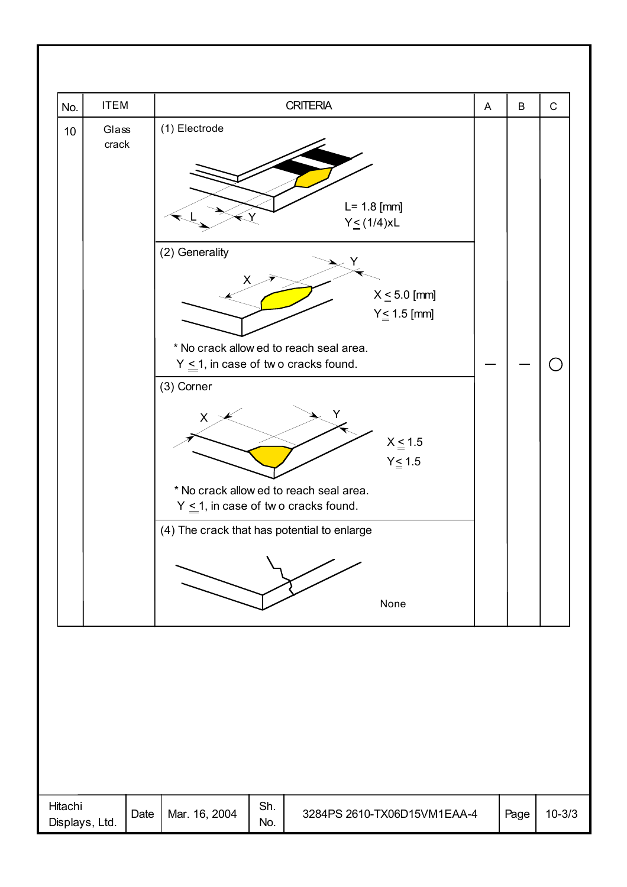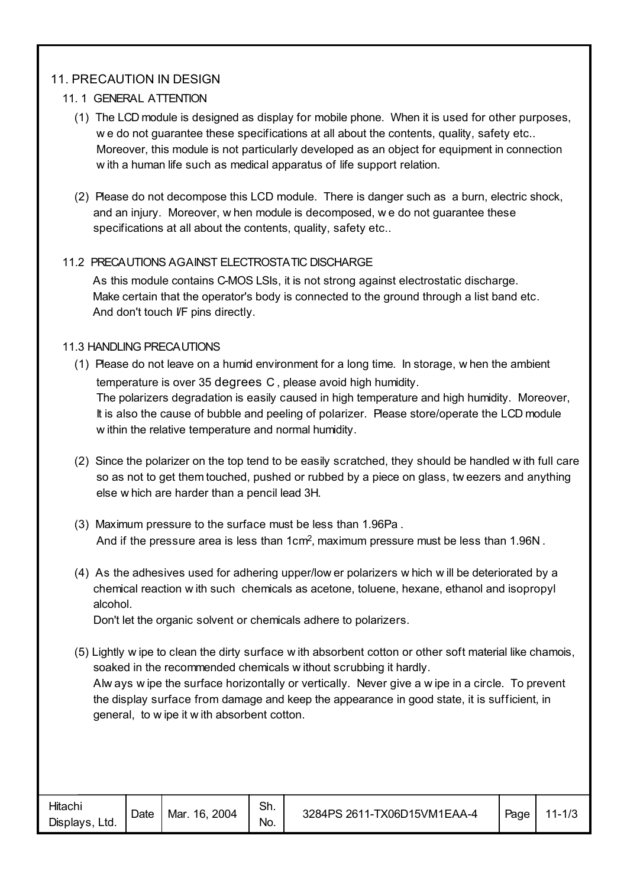#### 11. PRECAUTION IN DESIGN

#### 11. 1 GENERAL ATTENTION

- (1) The LCD module is designed as display for mobile phone. When it is used for other purposes, w e do not guarantee these specifications at all about the contents, quality, safety etc.. Moreover, this module is not particularly developed as an object for equipment in connection w ith a human life such as medical apparatus of life support relation.
- (2) Please do not decompose this LCD module. There is danger such as a burn, electric shock, and an injury. Moreover, w hen module is decomposed, w e do not guarantee these specifications at all about the contents, quality, safety etc..

#### 11.2 PRECAUTIONS AGAINST ELECTROSTATIC DISCHARGE

 As this module contains C-MOS LSIs, it is not strong against electrostatic discharge. Make certain that the operator's body is connected to the ground through a list band etc. And don't touch I/F pins directly.

#### 11.3 HANDLING PRECAUTIONS

- (1) Please do not leave on a humid environment for a long time. In storage, w hen the ambient temperature is over 35 degrees C , please avoid high humidity. The polarizers degradation is easily caused in high temperature and high humidity. Moreover, It is also the cause of bubble and peeling of polarizer. Please store/operate the LCD module w ithin the relative temperature and normal humidity.
- (2) Since the polarizer on the top tend to be easily scratched, they should be handled w ith full care so as not to get them touched, pushed or rubbed by a piece on glass, tw eezers and anything else w hich are harder than a pencil lead 3H.
- (3) Maximum pressure to the surface must be less than 1.96Pa . And if the pressure area is less than 1cm2, maximum pressure must be less than 1.96N .
- (4) As the adhesives used for adhering upper/low er polarizers w hich w ill be deteriorated by a chemical reaction w ith such chemicals as acetone, toluene, hexane, ethanol and isopropyl alcohol.

Don't let the organic solvent or chemicals adhere to polarizers.

(5) Lightly w ipe to clean the dirty surface w ith absorbent cotton or other soft material like chamois, soaked in the recommended chemicals w ithout scrubbing it hardly. Alw ays w ipe the surface horizontally or vertically. Never give a w ipe in a circle. To prevent the display surface from damage and keep the appearance in good state, it is sufficient, in general, to w ipe it w ith absorbent cotton.

| Hitachi<br>Displays,<br>Ltd. | Date | 2004<br>Mar.<br>16. | Sh.<br>No. | 3284PS 2611-TX06D15VM1EAA-4 | Page | $11 - 1/3$ |
|------------------------------|------|---------------------|------------|-----------------------------|------|------------|
|------------------------------|------|---------------------|------------|-----------------------------|------|------------|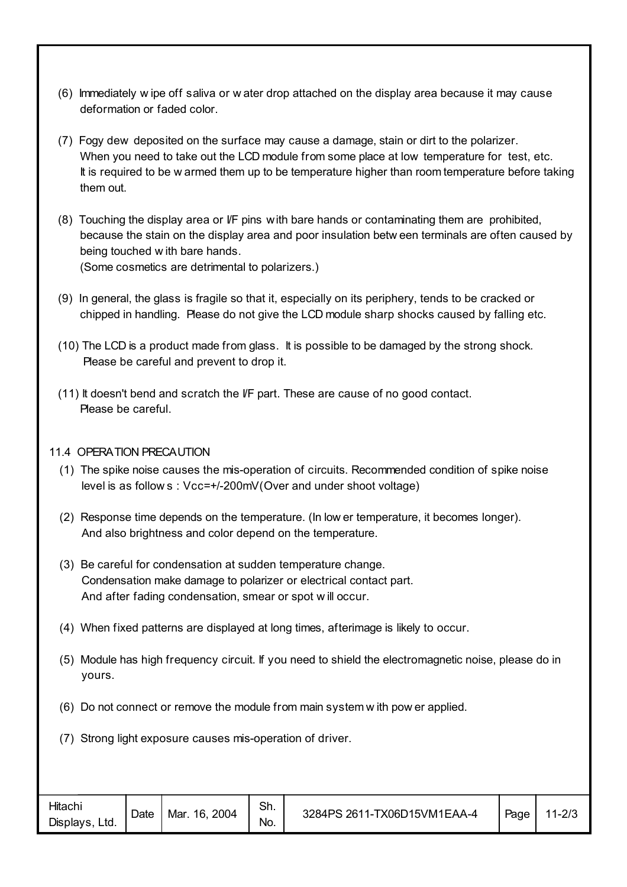- (6) Immediately w ipe off saliva or w ater drop attached on the display area because it may cause deformation or faded color.
- (7) Fogy dew deposited on the surface may cause a damage, stain or dirt to the polarizer. When you need to take out the LCD module from some place at low temperature for test, etc. It is required to be w armed them up to be temperature higher than room temperature before taking them out.
- (8) Touching the display area or I/F pins with bare hands or contaminating them are prohibited, because the stain on the display area and poor insulation betw een terminals are often caused by being touched w ith bare hands. (Some cosmetics are detrimental to polarizers.)
- (9) In general, the glass is fragile so that it, especially on its periphery, tends to be cracked or chipped in handling. Please do not give the LCD module sharp shocks caused by falling etc.
- (10) The LCD is a product made from glass. It is possible to be damaged by the strong shock. Please be careful and prevent to drop it.
- (11) It doesn't bend and scratch the I/F part. These are cause of no good contact. Please be careful.

#### 11.4 OPERATION PRECAUTION

- (1) The spike noise causes the mis-operation of circuits. Recommended condition of spike noise level is as follow s : Vcc=+/-200mV(Over and under shoot voltage)
- (2) Response time depends on the temperature. (In low er temperature, it becomes longer). And also brightness and color depend on the temperature.
- (3) Be careful for condensation at sudden temperature change. Condensation make damage to polarizer or electrical contact part. And after fading condensation, smear or spot w ill occur.
- (4) When fixed patterns are displayed at long times, afterimage is likely to occur.
- (5) Module has high frequency circuit. If you need to shield the electromagnetic noise, please do in yours.
- (6) Do not connect or remove the module from main system w ith pow er applied.
- (7) Strong light exposure causes mis-operation of driver.

| Hitachi<br>Displays.<br>Ltd. | Date | 2004<br>16.<br>Mar. | Sh.<br>No. | 3284PS 2611-TX06D15VM1EAA-4 | Page | $11 - 2/3$ |
|------------------------------|------|---------------------|------------|-----------------------------|------|------------|
|------------------------------|------|---------------------|------------|-----------------------------|------|------------|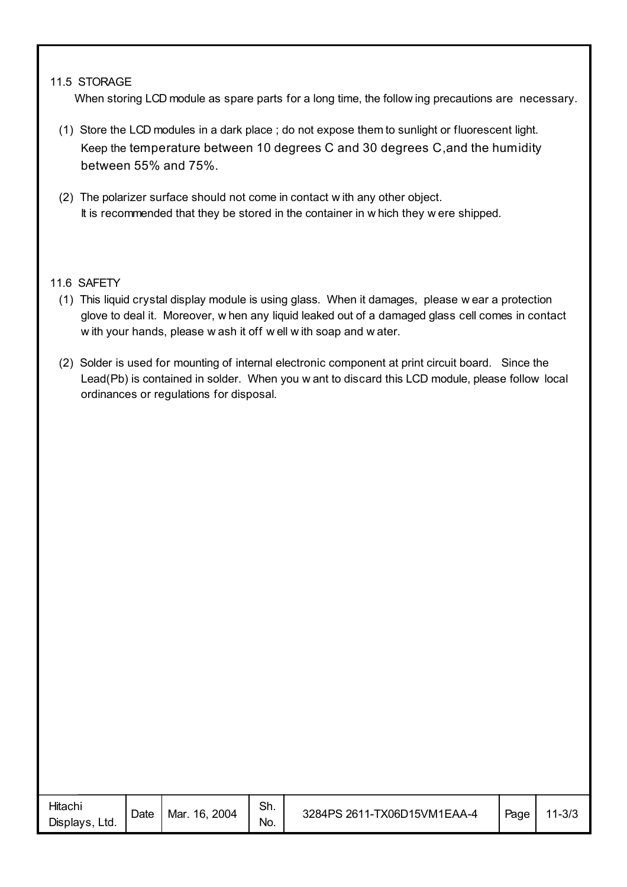#### 11.5 STORAGE

When storing LCD module as spare parts for a long time, the follow ing precautions are necessary.

- (1) Store the LCD modules in a dark place ; do not expose them to sunlight or fluorescent light. Keep the temperature between 10 degrees C and 30 degrees C,and the humidity between 55% and 75%.
- (2) The polarizer surface should not come in contact w ith any other object. It is recommended that they be stored in the container in w hich they w ere shipped.

#### 11.6 SAFETY

- (1) This liquid crystal display module is using glass. When it damages, please w ear a protection glove to deal it. Moreover, w hen any liquid leaked out of a damaged glass cell comes in contact w ith your hands, please w ash it off w ell w ith soap and w ater.
- (2) Solder is used for mounting of internal electronic component at print circuit board. Since the Lead(Pb) is contained in solder. When you w ant to discard this LCD module, please follow local ordinances or regulations for disposal.

| Hitachi<br>Displays,<br>Ltd. | Date | Mar. 16, 2004 | Sh.<br>No. | 3284PS 2611-TX06D15VM1EAA-4 | Page | $11 - 3/3$ |
|------------------------------|------|---------------|------------|-----------------------------|------|------------|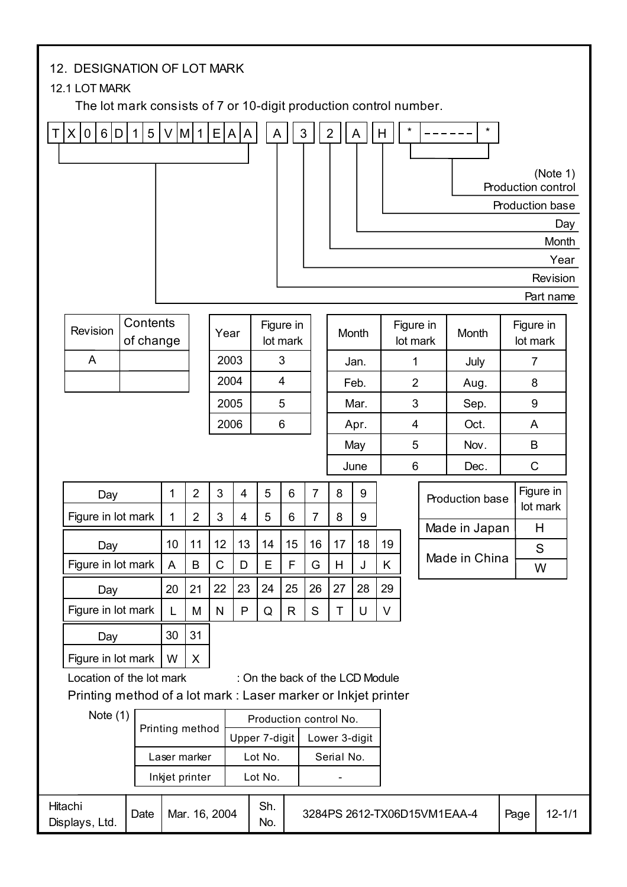|        | 12. DESIGNATION OF LOT MARK<br>12.1 LOT MARK<br>The lot mark consists of 7 or 10-digit production control number. |                             |    |                                |                                |                               |                                 |              |                                  |                |        |                       |                |      |                             |              |                                                   |  |
|--------|-------------------------------------------------------------------------------------------------------------------|-----------------------------|----|--------------------------------|--------------------------------|-------------------------------|---------------------------------|--------------|----------------------------------|----------------|--------|-----------------------|----------------|------|-----------------------------|--------------|---------------------------------------------------|--|
| $\top$ | 6 D <br>$\times$<br>$\overline{0}$                                                                                | 5 <sup>1</sup><br>$\vert$ 1 |    | $V$ M 1                        | E[A]                           | A                             | A                               |              | $\sqrt{3}$                       | $\overline{2}$ | A      | H                     | $\star$        |      | $\star$                     |              |                                                   |  |
|        |                                                                                                                   |                             |    |                                |                                |                               |                                 |              |                                  |                |        |                       |                |      |                             |              | (Note 1)<br>Production control<br>Production base |  |
|        |                                                                                                                   |                             |    |                                |                                |                               |                                 |              |                                  |                |        |                       |                |      |                             |              | Day<br>Month                                      |  |
|        |                                                                                                                   |                             |    |                                |                                |                               |                                 |              |                                  |                |        |                       |                |      |                             |              | Year                                              |  |
|        |                                                                                                                   |                             |    |                                |                                |                               |                                 |              |                                  |                |        |                       |                |      |                             |              | Revision                                          |  |
|        |                                                                                                                   |                             |    |                                |                                |                               |                                 |              |                                  |                |        |                       |                |      |                             |              | Part name                                         |  |
|        | Revision                                                                                                          | Contents<br>of change       |    |                                |                                | Figure in<br>Year<br>lot mark |                                 |              |                                  |                | Month  | Figure in<br>lot mark |                |      | Month                       |              | Figure in<br>lot mark                             |  |
|        | A                                                                                                                 |                             |    |                                |                                | $\mathfrak{S}$<br>2003        |                                 |              |                                  |                | Jan.   |                       | 1              |      | July                        |              | $\overline{7}$                                    |  |
|        |                                                                                                                   |                             |    |                                |                                | $\overline{4}$<br>2004        |                                 |              |                                  | Feb.           |        |                       | $\overline{2}$ |      | Aug.                        | 8            |                                                   |  |
|        |                                                                                                                   |                             |    |                                | 2005                           |                               |                                 | 5            |                                  | Mar.           |        | 3                     |                | Sep. | $\boldsymbol{9}$            |              |                                                   |  |
|        |                                                                                                                   |                             |    |                                |                                | 2006                          |                                 | 6            |                                  |                | Apr.   |                       | 4              |      | Oct.                        | A            |                                                   |  |
|        |                                                                                                                   |                             |    |                                |                                |                               |                                 |              |                                  |                | May    | 5                     |                | Nov. | B                           |              |                                                   |  |
|        |                                                                                                                   |                             |    |                                |                                |                               |                                 |              |                                  |                | June   |                       | 6              |      | Dec.                        | $\mathsf{C}$ |                                                   |  |
|        | Day<br>Figure in lot mark                                                                                         |                             | 1  | $\overline{2}$                 | 3<br>$\ensuremath{\mathsf{3}}$ | $\overline{4}$                | 5<br>5                          | 6            | $\overline{7}$<br>$\overline{7}$ | 8<br>8         | 9<br>9 |                       |                |      | Production base             |              | Figure in<br>lot mark                             |  |
|        |                                                                                                                   |                             | 1  | $\mathbf 2$                    |                                | 4                             |                                 | 6            |                                  |                |        |                       |                |      | Made in Japan               |              | Н                                                 |  |
|        | Day                                                                                                               |                             | 10 | 11                             | 12                             | 13                            | 14                              | 15           | 16                               | 17             | 18     | 19                    |                |      | Made in China               |              | S                                                 |  |
|        | Figure in lot mark                                                                                                |                             | A  | B                              | $\mathsf C$                    | D                             | E                               | F            | G                                | H              | J      | K                     |                |      |                             |              | W                                                 |  |
|        | Day                                                                                                               |                             | 20 | 21                             | 22                             | 23                            | 24                              | 25           | 26                               | 27             | 28     | 29                    |                |      |                             |              |                                                   |  |
|        | Figure in lot mark                                                                                                |                             | L  | M                              | $\mathsf{N}$                   | P                             | Q                               | $\mathsf{R}$ | ${\mathsf S}$                    | T              | U      | V                     |                |      |                             |              |                                                   |  |
|        | Day                                                                                                               |                             | 30 | 31                             |                                |                               |                                 |              |                                  |                |        |                       |                |      |                             |              |                                                   |  |
|        | Figure in lot mark                                                                                                |                             | W  | X                              |                                |                               |                                 |              |                                  |                |        |                       |                |      |                             |              |                                                   |  |
|        | Location of the lot mark                                                                                          |                             |    |                                |                                |                               | : On the back of the LCD Module |              |                                  |                |        |                       |                |      |                             |              |                                                   |  |
|        | Printing method of a lot mark : Laser marker or Inkjet printer                                                    |                             |    |                                |                                |                               |                                 |              |                                  |                |        |                       |                |      |                             |              |                                                   |  |
|        | Note $(1)$                                                                                                        |                             |    | Printing method                |                                |                               | Production control No.          |              |                                  |                |        |                       |                |      |                             |              |                                                   |  |
|        |                                                                                                                   |                             |    |                                |                                | Upper 7-digit                 |                                 |              |                                  | Lower 3-digit  |        |                       |                |      |                             |              |                                                   |  |
|        |                                                                                                                   |                             |    | Laser marker<br>Inkjet printer |                                |                               | Lot No.<br>Lot No.              |              |                                  | Serial No.     |        |                       |                |      |                             |              |                                                   |  |
|        | Hitachi<br>Displays, Ltd.                                                                                         | Date                        |    | Mar. 16, 2004                  |                                |                               | Sh.<br>No.                      |              |                                  |                |        |                       |                |      | 3284PS 2612-TX06D15VM1EAA-4 | Page         | $12 - 1/1$                                        |  |